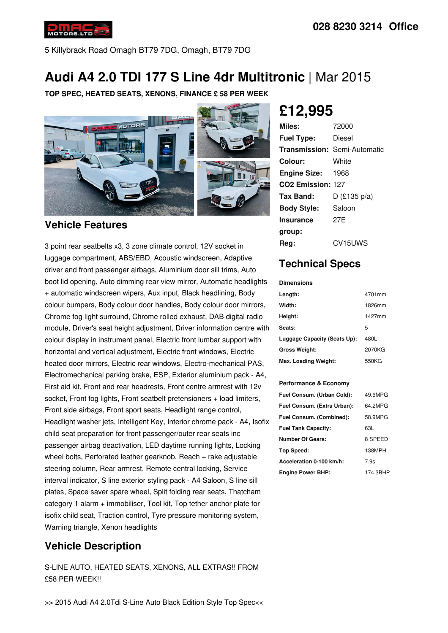

5 Killybrack Road Omagh BT79 7DG, Omagh, BT79 7DG

# **Audi A4 2.0 TDI 177 S Line 4dr Multitronic** | Mar 2015

**TOP SPEC, HEATED SEATS, XENONS, FINANCE £ 58 PER WEEK**



#### **Vehicle Features**

3 point rear seatbelts x3, 3 zone climate control, 12V socket in luggage compartment, ABS/EBD, Acoustic windscreen, Adaptive driver and front passenger airbags, Aluminium door sill trims, Auto boot lid opening, Auto dimming rear view mirror, Automatic headlights + automatic windscreen wipers, Aux input, Black headlining, Body colour bumpers, Body colour door handles, Body colour door mirrors, Chrome fog light surround, Chrome rolled exhaust, DAB digital radio module, Driver's seat height adjustment, Driver information centre with colour display in instrument panel, Electric front lumbar support with horizontal and vertical adjustment, Electric front windows, Electric heated door mirrors, Electric rear windows, Electro-mechanical PAS, Electromechanical parking brake, ESP, Exterior aluminium pack - A4, First aid kit, Front and rear headrests, Front centre armrest with 12v socket, Front fog lights, Front seatbelt pretensioners + load limiters, Front side airbags, Front sport seats, Headlight range control, Headlight washer jets, Intelligent Key, Interior chrome pack - A4, Isofix child seat preparation for front passenger/outer rear seats inc passenger airbag deactivation, LED daytime running lights, Locking wheel bolts, Perforated leather gearknob, Reach + rake adjustable steering column, Rear armrest, Remote central locking, Service interval indicator, S line exterior styling pack - A4 Saloon, S line sill plates, Space saver spare wheel, Split folding rear seats, Thatcham category 1 alarm + immobiliser, Tool kit, Top tether anchor plate for isofix child seat, Traction control, Tyre pressure monitoring system, Warning triangle, Xenon headlights

## **Vehicle Description**

S-LINE AUTO, HEATED SEATS, XENONS, ALL EXTRAS!! FROM £58 PER WEEK!!

**£12,995**

| Miles:                        | 72000                               |
|-------------------------------|-------------------------------------|
| <b>Fuel Type:</b>             | Diesel                              |
|                               | <b>Transmission: Semi-Automatic</b> |
| Colour:                       | White                               |
| <b>Engine Size: 1968</b>      |                                     |
| CO <sub>2</sub> Emission: 127 |                                     |
| Tax Band:                     | D (£135 p/a)                        |
| <b>Body Style:</b>            | Saloon                              |
| Insurance                     | 27F                                 |
| group:                        |                                     |
| Rea:                          | CV15UWS                             |

### **Technical Specs**

**Dimensions**

| Length:                      | 4701mm |
|------------------------------|--------|
| Width:                       | 1826mm |
| Height:                      | 1427mm |
| Seats:                       | 5      |
| Luggage Capacity (Seats Up): | 480L   |
| <b>Gross Weight:</b>         | 2070KG |
| Max. Loading Weight:         | 550KG  |

#### **Performance & Economy**

| Fuel Consum. (Urban Cold):  | 49.6MPG  |
|-----------------------------|----------|
| Fuel Consum. (Extra Urban): | 64.2MPG  |
| Fuel Consum. (Combined):    | 58.9MPG  |
| <b>Fuel Tank Capacity:</b>  | 63L      |
| <b>Number Of Gears:</b>     | 8 SPEED  |
| Top Speed:                  | 138MPH   |
| Acceleration 0-100 km/h:    | 7.9s     |
| <b>Engine Power BHP:</b>    | 174.3BHP |